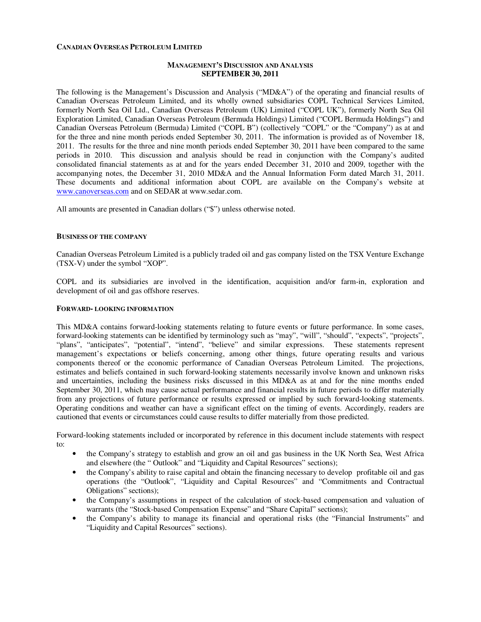### **CANADIAN OVERSEAS PETROLEUM LIMITED**

### **MANAGEMENT'S DISCUSSION AND ANALYSIS SEPTEMBER 30, 2011**

The following is the Management's Discussion and Analysis ("MD&A") of the operating and financial results of Canadian Overseas Petroleum Limited, and its wholly owned subsidiaries COPL Technical Services Limited, formerly North Sea Oil Ltd., Canadian Overseas Petroleum (UK) Limited ("COPL UK"), formerly North Sea Oil Exploration Limited, Canadian Overseas Petroleum (Bermuda Holdings) Limited ("COPL Bermuda Holdings") and Canadian Overseas Petroleum (Bermuda) Limited ("COPL B") (collectively "COPL" or the "Company") as at and for the three and nine month periods ended September 30, 2011. The information is provided as of November 18, 2011. The results for the three and nine month periods ended September 30, 2011 have been compared to the same periods in 2010. This discussion and analysis should be read in conjunction with the Company's audited consolidated financial statements as at and for the years ended December 31, 2010 and 2009, together with the accompanying notes, the December 31, 2010 MD&A and the Annual Information Form dated March 31, 2011. These documents and additional information about COPL are available on the Company's website at www.canoverseas.com and on SEDAR at www.sedar.com.

All amounts are presented in Canadian dollars ("\$") unless otherwise noted.

#### **BUSINESS OF THE COMPANY**

Canadian Overseas Petroleum Limited is a publicly traded oil and gas company listed on the TSX Venture Exchange (TSX-V) under the symbol "XOP".

COPL and its subsidiaries are involved in the identification, acquisition and/or farm-in, exploration and development of oil and gas offshore reserves.

#### **FORWARD- LOOKING INFORMATION**

This MD&A contains forward-looking statements relating to future events or future performance. In some cases, forward-looking statements can be identified by terminology such as "may", "will", "should", "expects", "projects", "plans", "anticipates", "potential", "intend", "believe" and similar expressions. These statements represent management's expectations or beliefs concerning, among other things, future operating results and various components thereof or the economic performance of Canadian Overseas Petroleum Limited. The projections, estimates and beliefs contained in such forward-looking statements necessarily involve known and unknown risks and uncertainties, including the business risks discussed in this MD&A as at and for the nine months ended September 30, 2011, which may cause actual performance and financial results in future periods to differ materially from any projections of future performance or results expressed or implied by such forward-looking statements. Operating conditions and weather can have a significant effect on the timing of events. Accordingly, readers are cautioned that events or circumstances could cause results to differ materially from those predicted.

Forward-looking statements included or incorporated by reference in this document include statements with respect to:

- the Company's strategy to establish and grow an oil and gas business in the UK North Sea, West Africa and elsewhere (the " Outlook" and "Liquidity and Capital Resources" sections);
- the Company's ability to raise capital and obtain the financing necessary to develop profitable oil and gas operations (the "Outlook", "Liquidity and Capital Resources" and "Commitments and Contractual Obligations" sections);
- the Company's assumptions in respect of the calculation of stock-based compensation and valuation of warrants (the "Stock-based Compensation Expense" and "Share Capital" sections);
- the Company's ability to manage its financial and operational risks (the "Financial Instruments" and "Liquidity and Capital Resources" sections).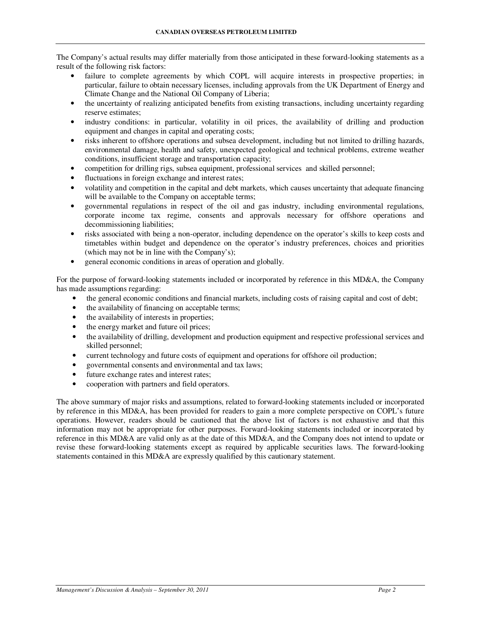The Company's actual results may differ materially from those anticipated in these forward-looking statements as a result of the following risk factors:

- failure to complete agreements by which COPL will acquire interests in prospective properties; in particular, failure to obtain necessary licenses, including approvals from the UK Department of Energy and Climate Change and the National Oil Company of Liberia;
- the uncertainty of realizing anticipated benefits from existing transactions, including uncertainty regarding reserve estimates;
- industry conditions: in particular, volatility in oil prices, the availability of drilling and production equipment and changes in capital and operating costs;
- risks inherent to offshore operations and subsea development, including but not limited to drilling hazards, environmental damage, health and safety, unexpected geological and technical problems, extreme weather conditions, insufficient storage and transportation capacity;
- competition for drilling rigs, subsea equipment, professional services and skilled personnel;
- fluctuations in foreign exchange and interest rates:
- volatility and competition in the capital and debt markets, which causes uncertainty that adequate financing will be available to the Company on acceptable terms;
- governmental regulations in respect of the oil and gas industry, including environmental regulations, corporate income tax regime, consents and approvals necessary for offshore operations and decommissioning liabilities;
- risks associated with being a non-operator, including dependence on the operator's skills to keep costs and timetables within budget and dependence on the operator's industry preferences, choices and priorities (which may not be in line with the Company's);
- general economic conditions in areas of operation and globally.

For the purpose of forward-looking statements included or incorporated by reference in this MD&A, the Company has made assumptions regarding:

- the general economic conditions and financial markets, including costs of raising capital and cost of debt;
- the availability of financing on acceptable terms;
- the availability of interests in properties;
- the energy market and future oil prices;
- the availability of drilling, development and production equipment and respective professional services and skilled personnel;
- current technology and future costs of equipment and operations for offshore oil production;
- governmental consents and environmental and tax laws;
- future exchange rates and interest rates;
- cooperation with partners and field operators.

The above summary of major risks and assumptions, related to forward-looking statements included or incorporated by reference in this MD&A, has been provided for readers to gain a more complete perspective on COPL's future operations. However, readers should be cautioned that the above list of factors is not exhaustive and that this information may not be appropriate for other purposes. Forward-looking statements included or incorporated by reference in this MD&A are valid only as at the date of this MD&A, and the Company does not intend to update or revise these forward-looking statements except as required by applicable securities laws. The forward-looking statements contained in this MD&A are expressly qualified by this cautionary statement.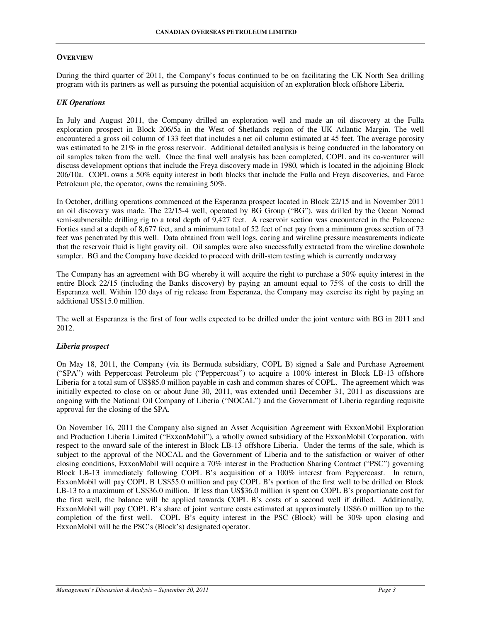# **OVERVIEW**

During the third quarter of 2011, the Company's focus continued to be on facilitating the UK North Sea drilling program with its partners as well as pursuing the potential acquisition of an exploration block offshore Liberia.

# *UK Operations*

In July and August 2011, the Company drilled an exploration well and made an oil discovery at the Fulla exploration prospect in Block 206/5a in the West of Shetlands region of the UK Atlantic Margin. The well encountered a gross oil column of 133 feet that includes a net oil column estimated at 45 feet. The average porosity was estimated to be 21% in the gross reservoir. Additional detailed analysis is being conducted in the laboratory on oil samples taken from the well. Once the final well analysis has been completed, COPL and its co-venturer will discuss development options that include the Freya discovery made in 1980, which is located in the adjoining Block 206/10a. COPL owns a 50% equity interest in both blocks that include the Fulla and Freya discoveries, and Faroe Petroleum plc, the operator, owns the remaining 50%.

In October, drilling operations commenced at the Esperanza prospect located in Block 22/15 and in November 2011 an oil discovery was made. The 22/15-4 well, operated by BG Group ("BG"), was drilled by the Ocean Nomad semi-submersible drilling rig to a total depth of 9,427 feet. A reservoir section was encountered in the Paleocene Forties sand at a depth of 8,677 feet, and a minimum total of 52 feet of net pay from a minimum gross section of 73 feet was penetrated by this well. Data obtained from well logs, coring and wireline pressure measurements indicate that the reservoir fluid is light gravity oil. Oil samples were also successfully extracted from the wireline downhole sampler. BG and the Company have decided to proceed with drill-stem testing which is currently underway

The Company has an agreement with BG whereby it will acquire the right to purchase a 50% equity interest in the entire Block 22/15 (including the Banks discovery) by paying an amount equal to 75% of the costs to drill the Esperanza well. Within 120 days of rig release from Esperanza, the Company may exercise its right by paying an additional US\$15.0 million.

The well at Esperanza is the first of four wells expected to be drilled under the joint venture with BG in 2011 and 2012.

# *Liberia prospect*

On May 18, 2011, the Company (via its Bermuda subsidiary, COPL B) signed a Sale and Purchase Agreement ("SPA") with Peppercoast Petroleum plc ("Peppercoast") to acquire a 100% interest in Block LB-13 offshore Liberia for a total sum of US\$85.0 million payable in cash and common shares of COPL. The agreement which was initially expected to close on or about June 30, 2011, was extended until December 31, 2011 as discussions are ongoing with the National Oil Company of Liberia ("NOCAL") and the Government of Liberia regarding requisite approval for the closing of the SPA.

On November 16, 2011 the Company also signed an Asset Acquisition Agreement with ExxonMobil Exploration and Production Liberia Limited ("ExxonMobil"), a wholly owned subsidiary of the ExxonMobil Corporation, with respect to the onward sale of the interest in Block LB-13 offshore Liberia. Under the terms of the sale, which is subject to the approval of the NOCAL and the Government of Liberia and to the satisfaction or waiver of other closing conditions, ExxonMobil will acquire a 70% interest in the Production Sharing Contract ("PSC") governing Block LB-13 immediately following COPL B's acquisition of a 100% interest from Peppercoast. In return, ExxonMobil will pay COPL B US\$55.0 million and pay COPL B's portion of the first well to be drilled on Block LB-13 to a maximum of US\$36.0 million. If less than US\$36.0 million is spent on COPL B's proportionate cost for the first well, the balance will be applied towards COPL B's costs of a second well if drilled. Additionally, ExxonMobil will pay COPL B's share of joint venture costs estimated at approximately US\$6.0 million up to the completion of the first well. COPL B's equity interest in the PSC (Block) will be 30% upon closing and ExxonMobil will be the PSC's (Block's) designated operator.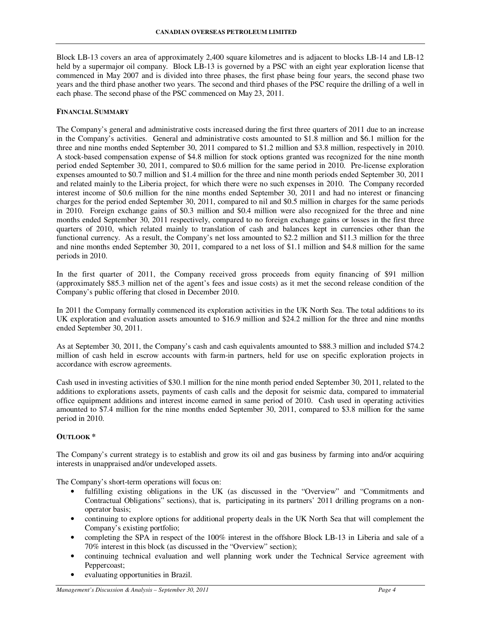Block LB-13 covers an area of approximately 2,400 square kilometres and is adjacent to blocks LB-14 and LB-12 held by a supermajor oil company. Block LB-13 is governed by a PSC with an eight year exploration license that commenced in May 2007 and is divided into three phases, the first phase being four years, the second phase two years and the third phase another two years. The second and third phases of the PSC require the drilling of a well in each phase. The second phase of the PSC commenced on May 23, 2011.

## **FINANCIAL SUMMARY**

The Company's general and administrative costs increased during the first three quarters of 2011 due to an increase in the Company's activities. General and administrative costs amounted to \$1.8 million and \$6.1 million for the three and nine months ended September 30, 2011 compared to \$1.2 million and \$3.8 million, respectively in 2010. A stock-based compensation expense of \$4.8 million for stock options granted was recognized for the nine month period ended September 30, 2011, compared to \$0.6 million for the same period in 2010. Pre-license exploration expenses amounted to \$0.7 million and \$1.4 million for the three and nine month periods ended September 30, 2011 and related mainly to the Liberia project, for which there were no such expenses in 2010. The Company recorded interest income of \$0.6 million for the nine months ended September 30, 2011 and had no interest or financing charges for the period ended September 30, 2011, compared to nil and \$0.5 million in charges for the same periods in 2010. Foreign exchange gains of \$0.3 million and \$0.4 million were also recognized for the three and nine months ended September 30, 2011 respectively, compared to no foreign exchange gains or losses in the first three quarters of 2010, which related mainly to translation of cash and balances kept in currencies other than the functional currency. As a result, the Company's net loss amounted to \$2.2 million and \$11.3 million for the three and nine months ended September 30, 2011, compared to a net loss of \$1.1 million and \$4.8 million for the same periods in 2010.

In the first quarter of 2011, the Company received gross proceeds from equity financing of \$91 million (approximately \$85.3 million net of the agent's fees and issue costs) as it met the second release condition of the Company's public offering that closed in December 2010.

In 2011 the Company formally commenced its exploration activities in the UK North Sea. The total additions to its UK exploration and evaluation assets amounted to \$16.9 million and \$24.2 million for the three and nine months ended September 30, 2011.

As at September 30, 2011, the Company's cash and cash equivalents amounted to \$88.3 million and included \$74.2 million of cash held in escrow accounts with farm-in partners, held for use on specific exploration projects in accordance with escrow agreements.

Cash used in investing activities of \$30.1 million for the nine month period ended September 30, 2011, related to the additions to explorations assets, payments of cash calls and the deposit for seismic data, compared to immaterial office equipment additions and interest income earned in same period of 2010. Cash used in operating activities amounted to \$7.4 million for the nine months ended September 30, 2011, compared to \$3.8 million for the same period in 2010.

# **OUTLOOK \***

The Company's current strategy is to establish and grow its oil and gas business by farming into and/or acquiring interests in unappraised and/or undeveloped assets.

The Company's short-term operations will focus on:

- fulfilling existing obligations in the UK (as discussed in the "Overview" and "Commitments and Contractual Obligations" sections), that is, participating in its partners' 2011 drilling programs on a nonoperator basis;
- continuing to explore options for additional property deals in the UK North Sea that will complement the Company's existing portfolio;
- completing the SPA in respect of the 100% interest in the offshore Block LB-13 in Liberia and sale of a 70% interest in this block (as discussed in the "Overview" section);
- continuing technical evaluation and well planning work under the Technical Service agreement with Peppercoast;
- evaluating opportunities in Brazil.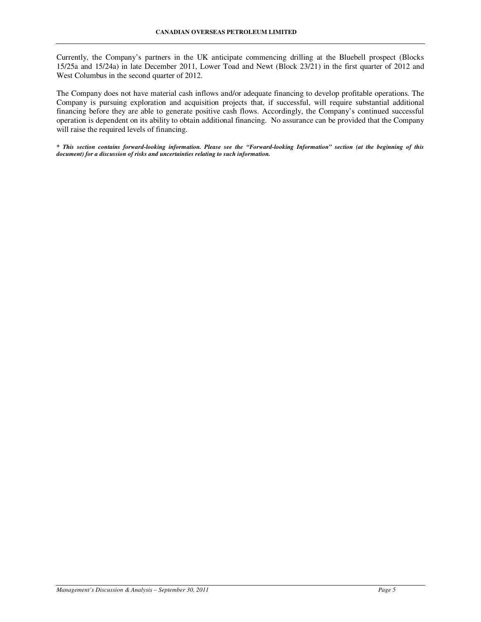Currently, the Company's partners in the UK anticipate commencing drilling at the Bluebell prospect (Blocks 15/25a and 15/24a) in late December 2011, Lower Toad and Newt (Block 23/21) in the first quarter of 2012 and West Columbus in the second quarter of 2012.

The Company does not have material cash inflows and/or adequate financing to develop profitable operations. The Company is pursuing exploration and acquisition projects that, if successful, will require substantial additional financing before they are able to generate positive cash flows. Accordingly, the Company's continued successful operation is dependent on its ability to obtain additional financing. No assurance can be provided that the Company will raise the required levels of financing.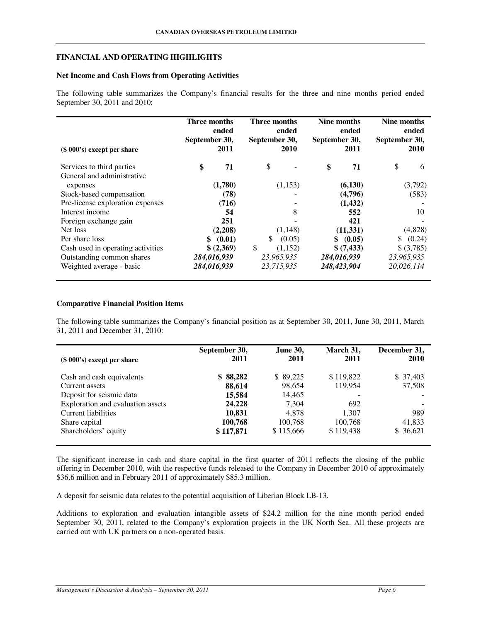## **FINANCIAL AND OPERATING HIGHLIGHTS**

## **Net Income and Cash Flows from Operating Activities**

The following table summarizes the Company's financial results for the three and nine months period ended September 30, 2011 and 2010:

| $(\$ 000's)$ except per share     | Three months<br>September 30, | ended<br>2011 |     | Three months<br>ended<br>September 30,<br><b>2010</b> | Nine months<br>September 30, | ended<br>2011 | September 30, | Nine months<br>ended<br>2010 |
|-----------------------------------|-------------------------------|---------------|-----|-------------------------------------------------------|------------------------------|---------------|---------------|------------------------------|
| Services to third parties         | \$                            | 71            | \$  |                                                       | \$                           | 71            | \$            | 6                            |
| General and administrative        |                               |               |     |                                                       |                              |               |               |                              |
| expenses                          |                               | (1,780)       |     | (1,153)                                               |                              | (6,130)       |               | (3,792)                      |
| Stock-based compensation          |                               | (78)          |     |                                                       |                              | (4,796)       |               | (583)                        |
| Pre-license exploration expenses  |                               | (716)         |     |                                                       |                              | (1,432)       |               |                              |
| Interest income                   |                               | 54            |     | 8                                                     |                              | 552           |               | 10                           |
| Foreign exchange gain             |                               | 251           |     |                                                       |                              | 421           |               |                              |
| Net loss                          |                               | (2,208)       |     | (1, 148)                                              |                              | (11,331)      |               | (4,828)                      |
| Per share loss                    | \$                            | (0.01)        | \$. | (0.05)                                                | \$                           | (0.05)        | S.            | (0.24)                       |
| Cash used in operating activities |                               | \$ (2,369)    | \$  | (1,152)                                               |                              | \$ (7,433)    |               | \$ (3,785)                   |
| Outstanding common shares         | 284,016,939                   |               |     | 23,965,935                                            |                              | 284,016,939   |               | 23,965,935                   |
| Weighted average - basic          | 284,016,939                   |               |     | 23,715,935                                            |                              | 248,423,904   |               | 20,026,114                   |

# **Comparative Financial Position Items**

The following table summarizes the Company's financial position as at September 30, 2011, June 30, 2011, March 31, 2011 and December 31, 2010:

| $(\$ 000's)$ except per share     | September 30,<br>2011 | <b>June 30,</b><br>2011 | March 31,<br>2011 | December 31,<br>2010     |
|-----------------------------------|-----------------------|-------------------------|-------------------|--------------------------|
| Cash and cash equivalents         | \$88,282              | \$89,225                | \$119,822         | \$37,403                 |
| Current assets                    | 88,614                | 98.654                  | 119,954           | 37,508                   |
| Deposit for seismic data          | 15,584                | 14,465                  |                   |                          |
| Exploration and evaluation assets | 24,228                | 7,304                   | 692               | $\overline{\phantom{a}}$ |
| <b>Current liabilities</b>        | 10,831                | 4.878                   | 1,307             | 989                      |
| Share capital                     | 100,768               | 100,768                 | 100.768           | 41,833                   |
| Shareholders' equity              | \$117,871             | \$115,666               | \$119,438         | \$ 36,621                |

The significant increase in cash and share capital in the first quarter of 2011 reflects the closing of the public offering in December 2010, with the respective funds released to the Company in December 2010 of approximately \$36.6 million and in February 2011 of approximately \$85.3 million.

A deposit for seismic data relates to the potential acquisition of Liberian Block LB-13.

Additions to exploration and evaluation intangible assets of \$24.2 million for the nine month period ended September 30, 2011, related to the Company's exploration projects in the UK North Sea. All these projects are carried out with UK partners on a non-operated basis.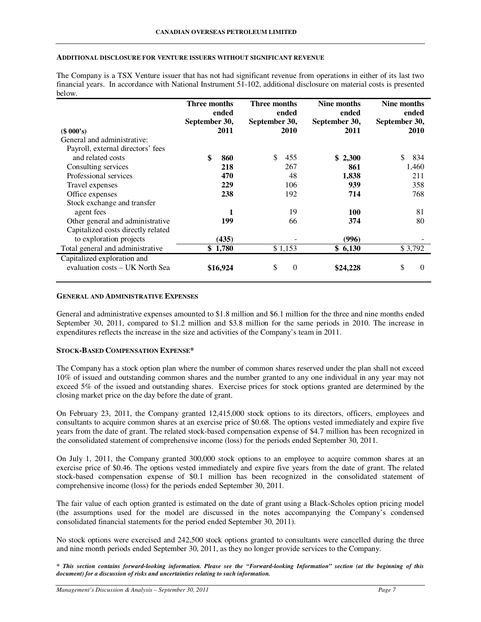#### **ADDITIONAL DISCLOSURE FOR VENTURE ISSUERS WITHOUT SIGNIFICANT REVENUE**

The Company is a TSX Venture issuer that has not had significant revenue from operations in either of its last two financial years. In accordance with National Instrument 51-102, additional disclosure on material costs is presented below.

| September 30, |
|---------------|
| 2010          |
|               |
|               |
| 834           |
| 1,460         |
| 211           |
| 358           |
| 768           |
|               |
| 81            |
| 80            |
|               |
|               |
| \$3,792       |
|               |
| $\Omega$      |
|               |

#### **GENERAL AND ADMINISTRATIVE EXPENSES**

General and administrative expenses amounted to \$1.8 million and \$6.1 million for the three and nine months ended September 30, 2011, compared to \$1.2 million and \$3.8 million for the same periods in 2010. The increase in expenditures reflects the increase in the size and activities of the Company's team in 2011.

### **STOCK-BASED COMPENSATION EXPENSE\***

The Company has a stock option plan where the number of common shares reserved under the plan shall not exceed 10% of issued and outstanding common shares and the number granted to any one individual in any year may not exceed 5% of the issued and outstanding shares. Exercise prices for stock options granted are determined by the closing market price on the day before the date of grant.

On February 23, 2011, the Company granted 12,415,000 stock options to its directors, officers, employees and consultants to acquire common shares at an exercise price of \$0.68. The options vested immediately and expire five years from the date of grant. The related stock-based compensation expense of \$4.7 million has been recognized in the consolidated statement of comprehensive income (loss) for the periods ended September 30, 2011.

On July 1, 2011, the Company granted 300,000 stock options to an employee to acquire common shares at an exercise price of \$0.46. The options vested immediately and expire five years from the date of grant. The related stock-based compensation expense of \$0.1 million has been recognized in the consolidated statement of comprehensive income (loss) for the periods ended September 30, 2011.

The fair value of each option granted is estimated on the date of grant using a Black-Scholes option pricing model (the assumptions used for the model are discussed in the notes accompanying the Company's condensed consolidated financial statements for the period ended September 30, 2011).

No stock options were exercised and 242,500 stock options granted to consultants were cancelled during the three and nine month periods ended September 30, 2011, as they no longer provide services to the Company.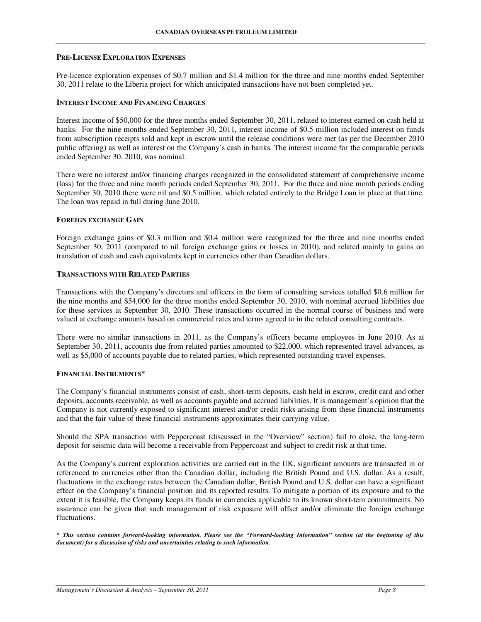### **PRE-LICENSE EXPLORATION EXPENSES**

Pre-licence exploration expenses of \$0.7 million and \$1.4 million for the three and nine months ended September 30, 2011 relate to the Liberia project for which anticipated transactions have not been completed yet.

#### **INTEREST INCOME AND FINANCING CHARGES**

Interest income of \$50,000 for the three months ended September 30, 2011, related to interest earned on cash held at banks. For the nine months ended September 30, 2011, interest income of \$0.5 million included interest on funds from subscription receipts sold and kept in escrow until the release conditions were met (as per the December 2010 public offering) as well as interest on the Company's cash in banks. The interest income for the comparable periods ended September 30, 2010, was nominal.

There were no interest and/or financing charges recognized in the consolidated statement of comprehensive income (loss) for the three and nine month periods ended September 30, 2011. For the three and nine month periods ending September 30, 2010 there were nil and \$0.5 million, which related entirely to the Bridge Loan in place at that time. The loan was repaid in full during June 2010.

### **FOREIGN EXCHANGE GAIN**

Foreign exchange gains of \$0.3 million and \$0.4 million were recognized for the three and nine months ended September 30, 2011 (compared to nil foreign exchange gains or losses in 2010), and related mainly to gains on translation of cash and cash equivalents kept in currencies other than Canadian dollars.

## **TRANSACTIONS WITH RELATED PARTIES**

Transactions with the Company's directors and officers in the form of consulting services totalled \$0.6 million for the nine months and \$54,000 for the three months ended September 30, 2010, with nominal accrued liabilities due for these services at September 30, 2010. These transactions occurred in the normal course of business and were valued at exchange amounts based on commercial rates and terms agreed to in the related consulting contracts.

There were no similar transactions in 2011, as the Company's officers became employees in June 2010. As at September 30, 2011, accounts due from related parties amounted to \$22,000, which represented travel advances, as well as \$5,000 of accounts payable due to related parties, which represented outstanding travel expenses.

### **FINANCIAL INSTRUMENTS\***

The Company's financial instruments consist of cash, short-term deposits, cash held in escrow, credit card and other deposits, accounts receivable, as well as accounts payable and accrued liabilities. It is management's opinion that the Company is not currently exposed to significant interest and/or credit risks arising from these financial instruments and that the fair value of these financial instruments approximates their carrying value.

Should the SPA transaction with Peppercoast (discussed in the "Overview" section) fail to close, the long-term deposit for seismic data will become a receivable from Peppercoast and subject to credit risk at that time.

As the Company's current exploration activities are carried out in the UK, significant amounts are transacted in or referenced to currencies other than the Canadian dollar, including the British Pound and U.S. dollar. As a result, fluctuations in the exchange rates between the Canadian dollar, British Pound and U.S. dollar can have a significant effect on the Company's financial position and its reported results. To mitigate a portion of its exposure and to the extent it is feasible, the Company keeps its funds in currencies applicable to its known short-tem commitments. No assurance can be given that such management of risk exposure will offset and/or eliminate the foreign exchange fluctuations.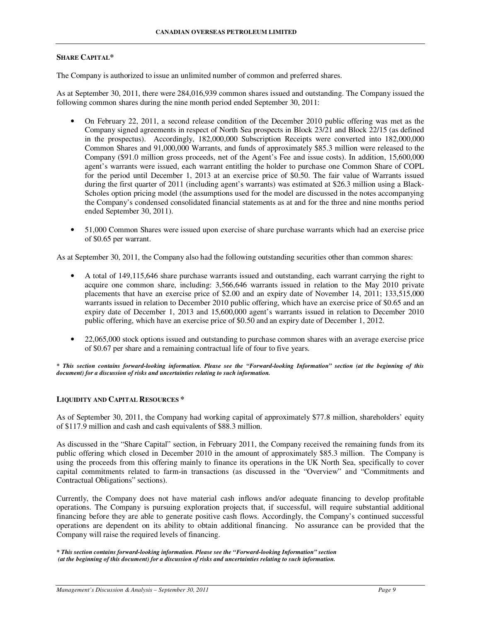#### **SHARE CAPITAL\***

The Company is authorized to issue an unlimited number of common and preferred shares.

As at September 30, 2011, there were 284,016,939 common shares issued and outstanding. The Company issued the following common shares during the nine month period ended September 30, 2011:

- On February 22, 2011, a second release condition of the December 2010 public offering was met as the Company signed agreements in respect of North Sea prospects in Block 23/21 and Block 22/15 (as defined in the prospectus). Accordingly, 182,000,000 Subscription Receipts were converted into 182,000,000 Common Shares and 91,000,000 Warrants, and funds of approximately \$85.3 million were released to the Company (\$91.0 million gross proceeds, net of the Agent's Fee and issue costs). In addition, 15,600,000 agent's warrants were issued, each warrant entitling the holder to purchase one Common Share of COPL for the period until December 1, 2013 at an exercise price of \$0.50. The fair value of Warrants issued during the first quarter of 2011 (including agent's warrants) was estimated at \$26.3 million using a Black-Scholes option pricing model (the assumptions used for the model are discussed in the notes accompanying the Company's condensed consolidated financial statements as at and for the three and nine months period ended September 30, 2011).
- 51,000 Common Shares were issued upon exercise of share purchase warrants which had an exercise price of \$0.65 per warrant.

As at September 30, 2011, the Company also had the following outstanding securities other than common shares:

- A total of 149,115,646 share purchase warrants issued and outstanding, each warrant carrying the right to acquire one common share, including: 3,566,646 warrants issued in relation to the May 2010 private placements that have an exercise price of \$2.00 and an expiry date of November 14, 2011; 133,515,000 warrants issued in relation to December 2010 public offering, which have an exercise price of \$0.65 and an expiry date of December 1, 2013 and 15,600,000 agent's warrants issued in relation to December 2010 public offering, which have an exercise price of \$0.50 and an expiry date of December 1, 2012.
- 22,065,000 stock options issued and outstanding to purchase common shares with an average exercise price of \$0.67 per share and a remaining contractual life of four to five years.

*\* This section contains forward-looking information. Please see the "Forward-looking Information" section (at the beginning of this document) for a discussion of risks and uncertainties relating to such information.* 

### **LIQUIDITY AND CAPITAL RESOURCES \***

As of September 30, 2011, the Company had working capital of approximately \$77.8 million, shareholders' equity of \$117.9 million and cash and cash equivalents of \$88.3 million.

As discussed in the "Share Capital" section, in February 2011, the Company received the remaining funds from its public offering which closed in December 2010 in the amount of approximately \$85.3 million. The Company is using the proceeds from this offering mainly to finance its operations in the UK North Sea, specifically to cover capital commitments related to farm-in transactions (as discussed in the "Overview" and "Commitments and Contractual Obligations" sections).

Currently, the Company does not have material cash inflows and/or adequate financing to develop profitable operations. The Company is pursuing exploration projects that, if successful, will require substantial additional financing before they are able to generate positive cash flows. Accordingly, the Company's continued successful operations are dependent on its ability to obtain additional financing. No assurance can be provided that the Company will raise the required levels of financing.

*<sup>\*</sup> This section contains forward-looking information. Please see the "Forward-looking Information" section (at the beginning of this document) for a discussion of risks and uncertainties relating to such information.*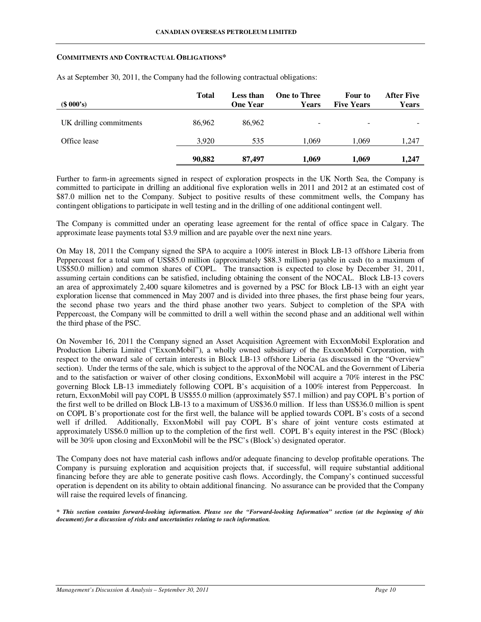#### **COMMITMENTS AND CONTRACTUAL OBLIGATIONS\***

| (\$000's)               | <b>Total</b> | <b>Less than</b><br><b>One Year</b> | <b>One to Three</b><br><b>Years</b> | Four to<br><b>Five Years</b> | <b>After Five</b><br><b>Years</b> |
|-------------------------|--------------|-------------------------------------|-------------------------------------|------------------------------|-----------------------------------|
| UK drilling commitments | 86,962       | 86,962                              | -                                   | ۰                            |                                   |
| Office lease            | 3.920        | 535                                 | 1.069                               | 1.069                        | 1,247                             |
|                         | 90,882       | 87,497                              | 1.069                               | 1.069                        | 1,247                             |

As at September 30, 2011, the Company had the following contractual obligations:

Further to farm-in agreements signed in respect of exploration prospects in the UK North Sea, the Company is committed to participate in drilling an additional five exploration wells in 2011 and 2012 at an estimated cost of \$87.0 million net to the Company. Subject to positive results of these commitment wells, the Company has contingent obligations to participate in well testing and in the drilling of one additional contingent well.

The Company is committed under an operating lease agreement for the rental of office space in Calgary. The approximate lease payments total \$3.9 million and are payable over the next nine years.

On May 18, 2011 the Company signed the SPA to acquire a 100% interest in Block LB-13 offshore Liberia from Peppercoast for a total sum of US\$85.0 million (approximately \$88.3 million) payable in cash (to a maximum of US\$50.0 million) and common shares of COPL. The transaction is expected to close by December 31, 2011, assuming certain conditions can be satisfied, including obtaining the consent of the NOCAL. Block LB-13 covers an area of approximately 2,400 square kilometres and is governed by a PSC for Block LB-13 with an eight year exploration license that commenced in May 2007 and is divided into three phases, the first phase being four years, the second phase two years and the third phase another two years. Subject to completion of the SPA with Peppercoast, the Company will be committed to drill a well within the second phase and an additional well within the third phase of the PSC.

On November 16, 2011 the Company signed an Asset Acquisition Agreement with ExxonMobil Exploration and Production Liberia Limited ("ExxonMobil"), a wholly owned subsidiary of the ExxonMobil Corporation, with respect to the onward sale of certain interests in Block LB-13 offshore Liberia (as discussed in the "Overview" section). Under the terms of the sale, which is subject to the approval of the NOCAL and the Government of Liberia and to the satisfaction or waiver of other closing conditions, ExxonMobil will acquire a 70% interest in the PSC governing Block LB-13 immediately following COPL B's acquisition of a 100% interest from Peppercoast. In return, ExxonMobil will pay COPL B US\$55.0 million (approximately \$57.1 million) and pay COPL B's portion of the first well to be drilled on Block LB-13 to a maximum of US\$36.0 million. If less than US\$36.0 million is spent on COPL B's proportionate cost for the first well, the balance will be applied towards COPL B's costs of a second well if drilled. Additionally, ExxonMobil will pay COPL B's share of joint venture costs estimated at approximately US\$6.0 million up to the completion of the first well. COPL B's equity interest in the PSC (Block) will be 30% upon closing and ExxonMobil will be the PSC's (Block's) designated operator.

The Company does not have material cash inflows and/or adequate financing to develop profitable operations. The Company is pursuing exploration and acquisition projects that, if successful, will require substantial additional financing before they are able to generate positive cash flows. Accordingly, the Company's continued successful operation is dependent on its ability to obtain additional financing. No assurance can be provided that the Company will raise the required levels of financing.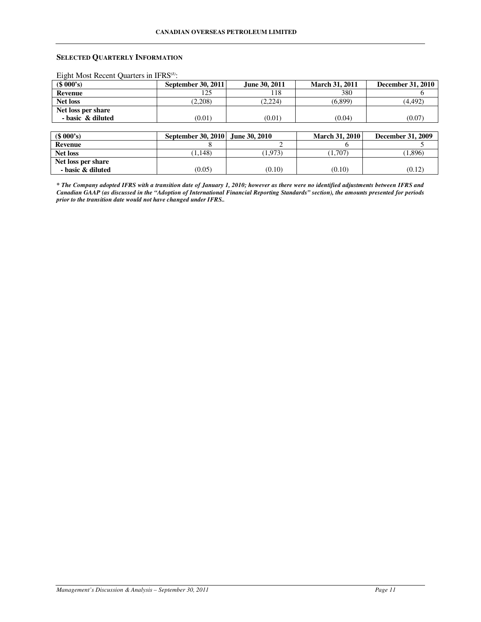# **SELECTED QUARTERLY INFORMATION**

Eight Most Recent Quarters in IFRS*(1)*:

| (\$000's)          | <b>September 30, 2011</b> | June 30, 2011 | <b>March 31, 2011</b> | <b>December 31, 2010</b> |
|--------------------|---------------------------|---------------|-----------------------|--------------------------|
| Revenue            | 125                       |               | 380                   |                          |
| <b>Net loss</b>    | (2,208)                   | (2.224)       | (6,899)               | (4.492)                  |
| Net loss per share |                           |               |                       |                          |
| - basic & diluted  | (0.01)                    | (0.01)        | (0.04)                | (0.07                    |

| \$000's            | September 30, 2010 June 30, 2010 |        | <b>March 31, 2010</b> | December 31, 2009 |
|--------------------|----------------------------------|--------|-----------------------|-------------------|
| Revenue            |                                  |        |                       |                   |
| <b>Net loss</b>    | 1.148                            | 1.973) | (1.707)               | 1,896)            |
| Net loss per share |                                  |        |                       |                   |
| - basic & diluted  | (0.05)                           | (0.10) | (0.10)                | (0.12)            |

*\* The Company adopted IFRS with a transition date of January 1, 2010; however as there were no identified adjustments between IFRS and Canadian GAAP (as discussed in the "Adoption of International Financial Reporting Standards" section), the amounts presented for periods prior to the transition date would not have changed under IFRS..*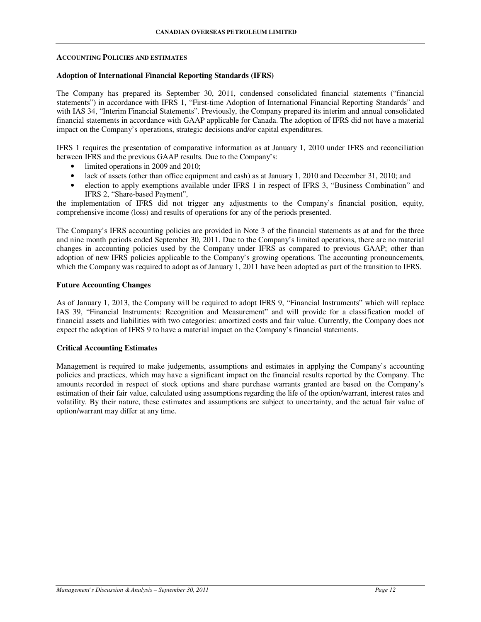#### **ACCOUNTING POLICIES AND ESTIMATES**

### **Adoption of International Financial Reporting Standards (IFRS)**

The Company has prepared its September 30, 2011, condensed consolidated financial statements ("financial statements") in accordance with IFRS 1, "First-time Adoption of International Financial Reporting Standards" and with IAS 34, "Interim Financial Statements". Previously, the Company prepared its interim and annual consolidated financial statements in accordance with GAAP applicable for Canada. The adoption of IFRS did not have a material impact on the Company's operations, strategic decisions and/or capital expenditures.

IFRS 1 requires the presentation of comparative information as at January 1, 2010 under IFRS and reconciliation between IFRS and the previous GAAP results. Due to the Company's:

- limited operations in 2009 and 2010;
- lack of assets (other than office equipment and cash) as at January 1, 2010 and December 31, 2010; and
- election to apply exemptions available under IFRS 1 in respect of IFRS 3, "Business Combination" and IFRS 2, "Share-based Payment",

the implementation of IFRS did not trigger any adjustments to the Company's financial position, equity, comprehensive income (loss) and results of operations for any of the periods presented.

The Company's IFRS accounting policies are provided in Note 3 of the financial statements as at and for the three and nine month periods ended September 30, 2011. Due to the Company's limited operations, there are no material changes in accounting policies used by the Company under IFRS as compared to previous GAAP; other than adoption of new IFRS policies applicable to the Company's growing operations. The accounting pronouncements, which the Company was required to adopt as of January 1, 2011 have been adopted as part of the transition to IFRS.

### **Future Accounting Changes**

As of January 1, 2013, the Company will be required to adopt IFRS 9, "Financial Instruments" which will replace IAS 39, "Financial Instruments: Recognition and Measurement" and will provide for a classification model of financial assets and liabilities with two categories: amortized costs and fair value. Currently, the Company does not expect the adoption of IFRS 9 to have a material impact on the Company's financial statements.

### **Critical Accounting Estimates**

Management is required to make judgements, assumptions and estimates in applying the Company's accounting policies and practices, which may have a significant impact on the financial results reported by the Company. The amounts recorded in respect of stock options and share purchase warrants granted are based on the Company's estimation of their fair value, calculated using assumptions regarding the life of the option/warrant, interest rates and volatility. By their nature, these estimates and assumptions are subject to uncertainty, and the actual fair value of option/warrant may differ at any time.